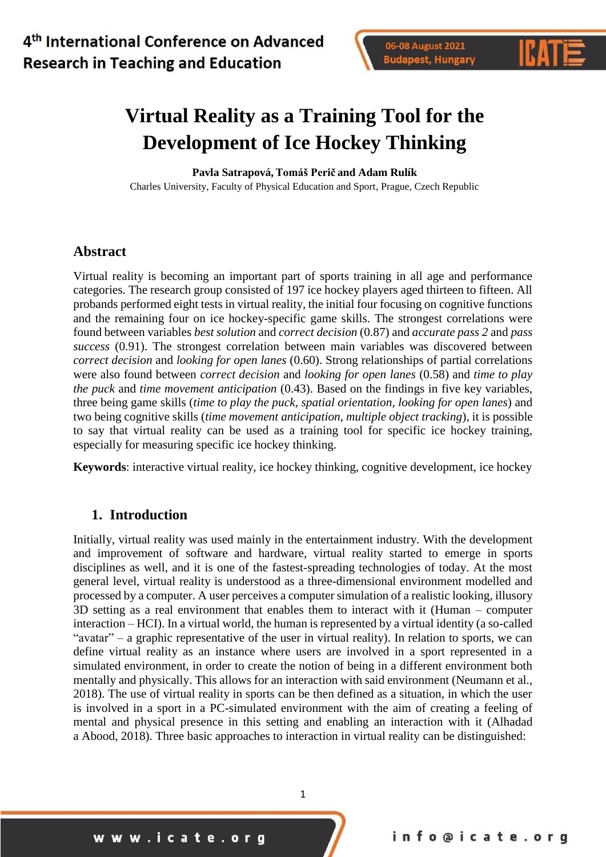



# **Virtual Reality as a Training Tool for the Development of Ice Hockey Thinking**

**Pavla Satrapová,Tomáš Perič and Adam Rulík**

Charles University, Faculty of Physical Education and Sport, Prague, Czech Republic

### **Abstract**

Virtual reality is becoming an important part of sports training in all age and performance categories. The research group consisted of 197 ice hockey players aged thirteen to fifteen. All probands performed eight tests in virtual reality, the initial four focusing on cognitive functions and the remaining four on ice hockey-specific game skills. The strongest correlations were found between variables *best solution* and *correct decision* (0.87) and *accurate pass 2* and *pass success* (0.91). The strongest correlation between main variables was discovered between *correct decision* and *looking for open lanes* (0.60). Strong relationships of partial correlations were also found between *correct decision* and *looking for open lanes* (0.58) and *time to play the puck* and *time movement anticipation* (0.43). Based on the findings in five key variables, three being game skills (*time to play the puck, spatial orientation, looking for open lanes*) and two being cognitive skills (*time movement anticipation*, *multiple object tracking*), it is possible to say that virtual reality can be used as a training tool for specific ice hockey training, especially for measuring specific ice hockey thinking.

**Keywords**: interactive virtual reality, ice hockey thinking, cognitive development, ice hockey

### **1. Introduction**

Initially, virtual reality was used mainly in the entertainment industry. With the development and improvement of software and hardware, virtual reality started to emerge in sports disciplines as well, and it is one of the fastest-spreading technologies of today. At the most general level, virtual reality is understood as a three-dimensional environment modelled and processed by a computer. A user perceives a computer simulation of a realistic looking, illusory 3D setting as a real environment that enables them to interact with it (Human – computer interaction – HCI). In a virtual world, the human is represented by a virtual identity (a so-called "avatar" – a graphic representative of the user in virtual reality). In relation to sports, we can define virtual reality as an instance where users are involved in a sport represented in a simulated environment, in order to create the notion of being in a different environment both mentally and physically. This allows for an interaction with said environment (Neumann et al., 2018). The use of virtual reality in sports can be then defined as a situation, in which the user is involved in a sport in a PC-simulated environment with the aim of creating a feeling of mental and physical presence in this setting and enabling an interaction with it (Alhadad a Abood, 2018). Three basic approaches to interaction in virtual reality can be distinguished: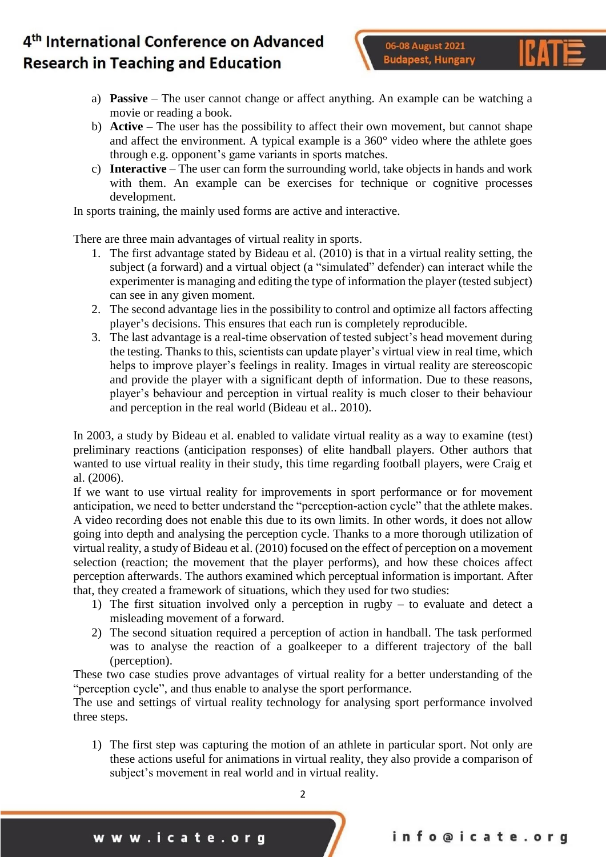

- a) **Passive** The user cannot change or affect anything. An example can be watching a movie or reading a book.
- b) **Active –** The user has the possibility to affect their own movement, but cannot shape and affect the environment. A typical example is a 360° video where the athlete goes through e.g. opponent's game variants in sports matches.
- c) **Interactive**  The user can form the surrounding world, take objects in hands and work with them. An example can be exercises for technique or cognitive processes development.

In sports training, the mainly used forms are active and interactive.

There are three main advantages of virtual reality in sports.

- 1. The first advantage stated by Bideau et al. (2010) is that in a virtual reality setting, the subject (a forward) and a virtual object (a "simulated" defender) can interact while the experimenter is managing and editing the type of information the player (tested subject) can see in any given moment.
- 2. The second advantage lies in the possibility to control and optimize all factors affecting player's decisions. This ensures that each run is completely reproducible.
- 3. The last advantage is a real-time observation of tested subject's head movement during the testing. Thanks to this, scientists can update player's virtual view in real time, which helps to improve player's feelings in reality. Images in virtual reality are stereoscopic and provide the player with a significant depth of information. Due to these reasons, player's behaviour and perception in virtual reality is much closer to their behaviour and perception in the real world (Bideau et al.. 2010).

In 2003, a study by Bideau et al. enabled to validate virtual reality as a way to examine (test) preliminary reactions (anticipation responses) of elite handball players. Other authors that wanted to use virtual reality in their study, this time regarding football players, were Craig et al. (2006).

If we want to use virtual reality for improvements in sport performance or for movement anticipation, we need to better understand the "perception-action cycle" that the athlete makes. A video recording does not enable this due to its own limits. In other words, it does not allow going into depth and analysing the perception cycle. Thanks to a more thorough utilization of virtual reality, a study of Bideau et al. (2010) focused on the effect of perception on a movement selection (reaction; the movement that the player performs), and how these choices affect perception afterwards. The authors examined which perceptual information is important. After that, they created a framework of situations, which they used for two studies:

- 1) The first situation involved only a perception in rugby to evaluate and detect a misleading movement of a forward.
- 2) The second situation required a perception of action in handball. The task performed was to analyse the reaction of a goalkeeper to a different trajectory of the ball (perception).

These two case studies prove advantages of virtual reality for a better understanding of the "perception cycle", and thus enable to analyse the sport performance.

The use and settings of virtual reality technology for analysing sport performance involved three steps.

1) The first step was capturing the motion of an athlete in particular sport. Not only are these actions useful for animations in virtual reality, they also provide a comparison of subject's movement in real world and in virtual reality.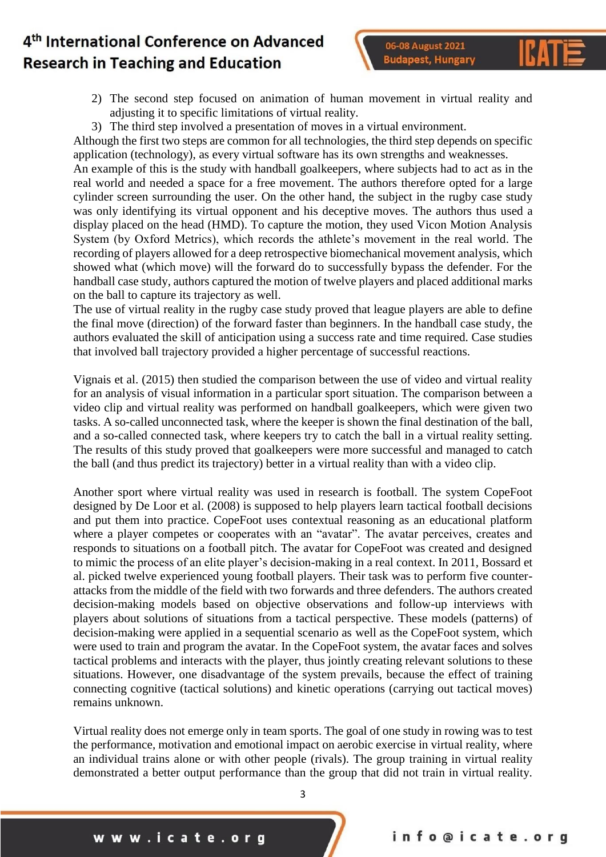06-08 August 2021 **Budapest, Hungary** 



- 2) The second step focused on animation of human movement in virtual reality and adjusting it to specific limitations of virtual reality.
- 3) The third step involved a presentation of moves in a virtual environment.

Although the first two steps are common for all technologies, the third step depends on specific application (technology), as every virtual software has its own strengths and weaknesses.

An example of this is the study with handball goalkeepers, where subjects had to act as in the real world and needed a space for a free movement. The authors therefore opted for a large cylinder screen surrounding the user. On the other hand, the subject in the rugby case study was only identifying its virtual opponent and his deceptive moves. The authors thus used a display placed on the head (HMD). To capture the motion, they used Vicon Motion Analysis System (by Oxford Metrics), which records the athlete's movement in the real world. The recording of players allowed for a deep retrospective biomechanical movement analysis, which showed what (which move) will the forward do to successfully bypass the defender. For the handball case study, authors captured the motion of twelve players and placed additional marks on the ball to capture its trajectory as well.

The use of virtual reality in the rugby case study proved that league players are able to define the final move (direction) of the forward faster than beginners. In the handball case study, the authors evaluated the skill of anticipation using a success rate and time required. Case studies that involved ball trajectory provided a higher percentage of successful reactions.

Vignais et al. (2015) then studied the comparison between the use of video and virtual reality for an analysis of visual information in a particular sport situation. The comparison between a video clip and virtual reality was performed on handball goalkeepers, which were given two tasks. A so-called unconnected task, where the keeper is shown the final destination of the ball, and a so-called connected task, where keepers try to catch the ball in a virtual reality setting. The results of this study proved that goalkeepers were more successful and managed to catch the ball (and thus predict its trajectory) better in a virtual reality than with a video clip.

Another sport where virtual reality was used in research is football. The system CopeFoot designed by De Loor et al. (2008) is supposed to help players learn tactical football decisions and put them into practice. CopeFoot uses contextual reasoning as an educational platform where a player competes or cooperates with an "avatar". The avatar perceives, creates and responds to situations on a football pitch. The avatar for CopeFoot was created and designed to mimic the process of an elite player's decision-making in a real context. In 2011, Bossard et al. picked twelve experienced young football players. Their task was to perform five counterattacks from the middle of the field with two forwards and three defenders. The authors created decision-making models based on objective observations and follow-up interviews with players about solutions of situations from a tactical perspective. These models (patterns) of decision-making were applied in a sequential scenario as well as the CopeFoot system, which were used to train and program the avatar. In the CopeFoot system, the avatar faces and solves tactical problems and interacts with the player, thus jointly creating relevant solutions to these situations. However, one disadvantage of the system prevails, because the effect of training connecting cognitive (tactical solutions) and kinetic operations (carrying out tactical moves) remains unknown.

Virtual reality does not emerge only in team sports. The goal of one study in rowing was to test the performance, motivation and emotional impact on aerobic exercise in virtual reality, where an individual trains alone or with other people (rivals). The group training in virtual reality demonstrated a better output performance than the group that did not train in virtual reality.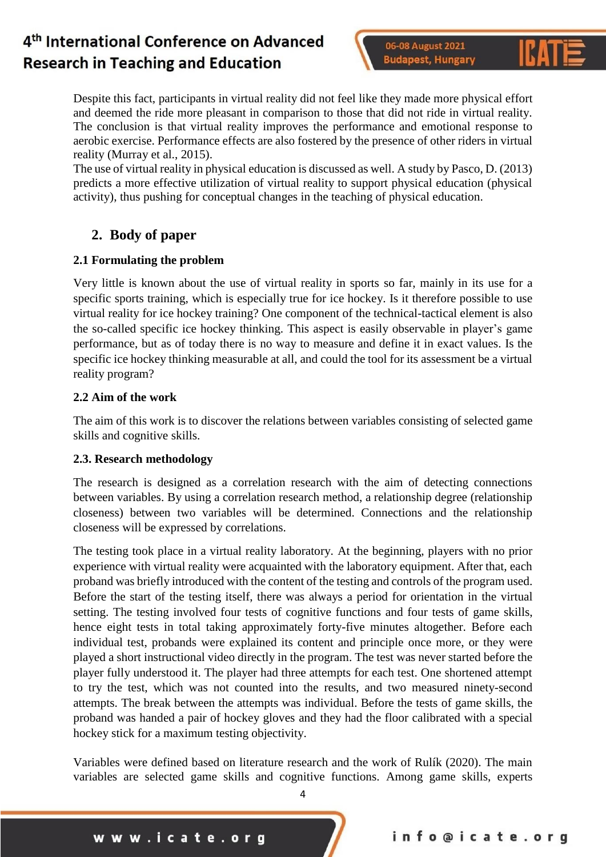06-08 August 2021 **Budapest, Hungary** 



Despite this fact, participants in virtual reality did not feel like they made more physical effort and deemed the ride more pleasant in comparison to those that did not ride in virtual reality. The conclusion is that virtual reality improves the performance and emotional response to aerobic exercise. Performance effects are also fostered by the presence of other riders in virtual reality (Murray et al., 2015).

The use of virtual reality in physical education is discussed as well. A study by Pasco, D. (2013) predicts a more effective utilization of virtual reality to support physical education (physical activity), thus pushing for conceptual changes in the teaching of physical education.

## **2. Body of paper**

### **2.1 Formulating the problem**

Very little is known about the use of virtual reality in sports so far, mainly in its use for a specific sports training, which is especially true for ice hockey. Is it therefore possible to use virtual reality for ice hockey training? One component of the technical-tactical element is also the so-called specific ice hockey thinking. This aspect is easily observable in player's game performance, but as of today there is no way to measure and define it in exact values. Is the specific ice hockey thinking measurable at all, and could the tool for its assessment be a virtual reality program?

### **2.2 Aim of the work**

The aim of this work is to discover the relations between variables consisting of selected game skills and cognitive skills.

### **2.3. Research methodology**

The research is designed as a correlation research with the aim of detecting connections between variables. By using a correlation research method, a relationship degree (relationship closeness) between two variables will be determined. Connections and the relationship closeness will be expressed by correlations.

The testing took place in a virtual reality laboratory. At the beginning, players with no prior experience with virtual reality were acquainted with the laboratory equipment. After that, each proband was briefly introduced with the content of the testing and controls of the program used. Before the start of the testing itself, there was always a period for orientation in the virtual setting. The testing involved four tests of cognitive functions and four tests of game skills, hence eight tests in total taking approximately forty-five minutes altogether. Before each individual test, probands were explained its content and principle once more, or they were played a short instructional video directly in the program. The test was never started before the player fully understood it. The player had three attempts for each test. One shortened attempt to try the test, which was not counted into the results, and two measured ninety-second attempts. The break between the attempts was individual. Before the tests of game skills, the proband was handed a pair of hockey gloves and they had the floor calibrated with a special hockey stick for a maximum testing objectivity.

Variables were defined based on literature research and the work of Rulík (2020). The main variables are selected game skills and cognitive functions. Among game skills, experts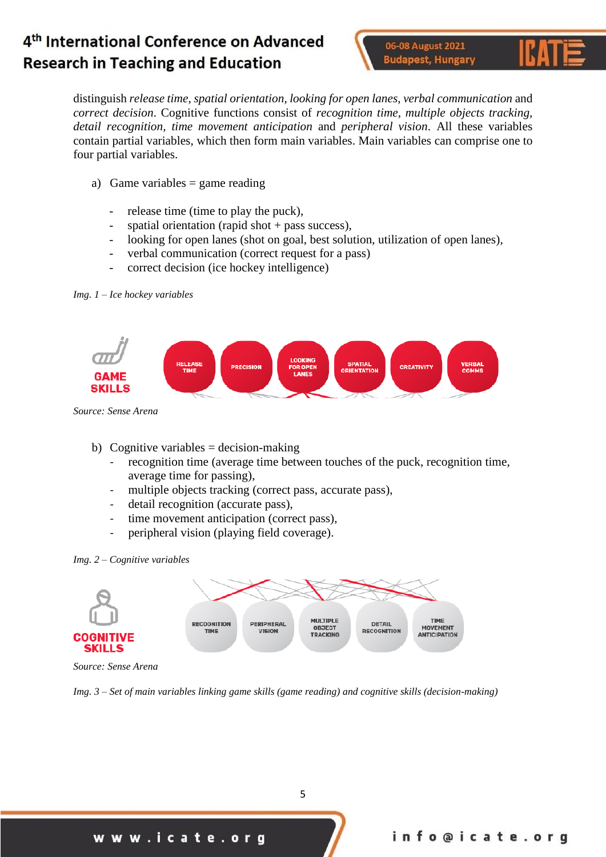06-08 August 2021 **Budapest, Hungary** 



distinguish *release time, spatial orientation, looking for open lanes, verbal communication* and *correct decision*. Cognitive functions consist of *recognition time, multiple objects tracking, detail recognition, time movement anticipation* and *peripheral vision*. All these variables contain partial variables, which then form main variables. Main variables can comprise one to four partial variables.

- a) Game variables  $=$  game reading
	- release time (time to play the puck),
	- spatial orientation (rapid shot + pass success),
	- looking for open lanes (shot on goal, best solution, utilization of open lanes),
	- verbal communication (correct request for a pass)
	- correct decision (ice hockey intelligence)

*Img. 1 – Ice hockey variables*



*Source: Sense Arena*

- b) Cognitive variables  $=$  decision-making
	- recognition time (average time between touches of the puck, recognition time, average time for passing),
	- multiple objects tracking (correct pass, accurate pass),
	- detail recognition (accurate pass),
	- time movement anticipation (correct pass),
	- peripheral vision (playing field coverage).

#### *Img. 2 – Cognitive variables*



*Source: Sense Arena*

*Img. 3 – Set of main variables linking game skills (game reading) and cognitive skills (decision-making)*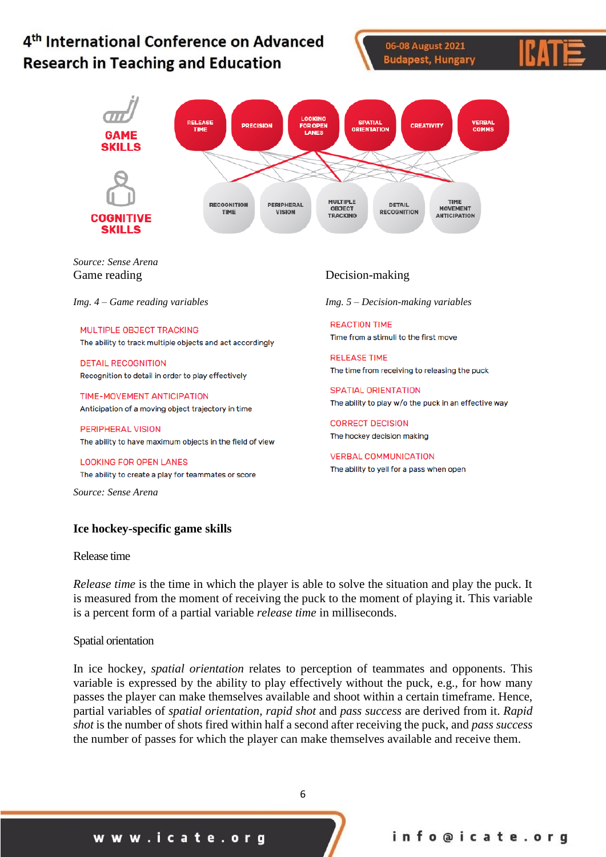#### 4<sup>th</sup> International Conference on Advanced 06-08 August 2021 **Budapest, Hungary Research in Teaching and Education** RELEASE<br>TIME **SPATIAL**<br>**ORIENTATIO VERBAI**<br>COMMS OR OPEN CREATIVITY **PRECISION** SKILLS **MULTIPLE TIME RECOGNITION** PERIPHERAL

*Source: Sense Arena*

**COGNITIVE SKILLS** 

MULTIPLE OBJECT TRACKING The ability to track multiple objects and act accordingly

**DETAIL RECOGNITION** Recognition to detail in order to play effectively

TIME-MOVEMENT ANTICIPATION Anticipation of a moving object trajectory in time

**PERIPHERAL VISION** The ability to have maximum objects in the field of view

**LOOKING FOR OPEN LANES** The ability to create a play for teammates or score

*Source: Sense Arena*

#### **Ice hockey-specific game skills**

#### Release time

*Release time* is the time in which the player is able to solve the situation and play the puck. It is measured from the moment of receiving the puck to the moment of playing it. This variable is a percent form of a partial variable *release time* in milliseconds.

#### Spatial orientation

In ice hockey, *spatial orientation* relates to perception of teammates and opponents. This variable is expressed by the ability to play effectively without the puck, e.g., for how many passes the player can make themselves available and shoot within a certain timeframe. Hence, partial variables of *spatial orientation, rapid shot* and *pass success* are derived from it. *Rapid shot* is the number of shots fired within half a second after receiving the puck, and *pass success* the number of passes for which the player can make themselves available and receive them.

6

### Game reading Decision-making

*Img. 4 – Game reading variables Img. 5 – Decision-making variables*

**REACTION TIME** Time from a stimuli to the first move

**RELEASE TIME** The time from receiving to releasing the puck

SPATIAL ORIENTATION The ability to play w/o the puck in an effective way

**CORRECT DECISION** The hockey decision making

**VERBAL COMMUNICATION** The ability to yell for a pass when open

**DETAIL**<br>RECOGNITION OBJECT **MOVEMENT** TIME **VISION TRACKING** ANTICIPATION

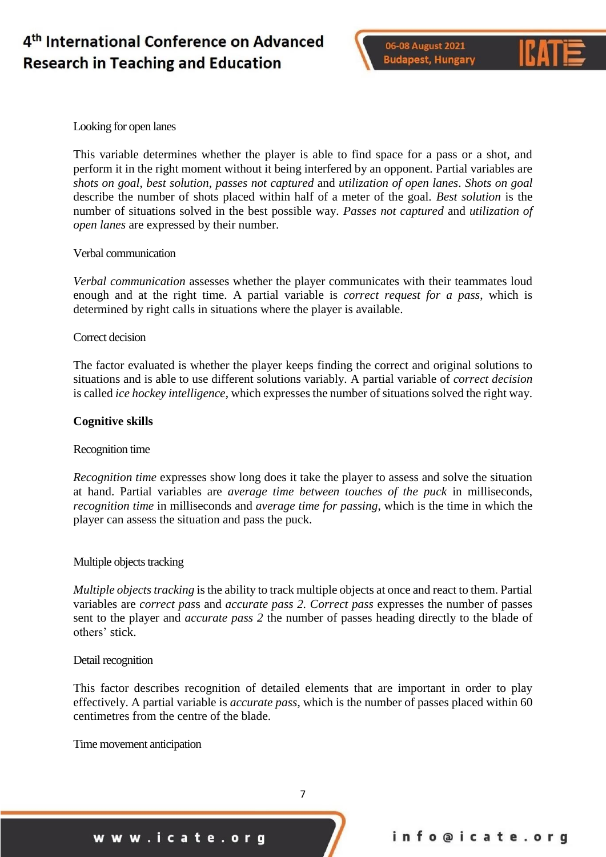



#### Looking for open lanes

This variable determines whether the player is able to find space for a pass or a shot, and perform it in the right moment without it being interfered by an opponent. Partial variables are *shots on goal*, *best solution*, *passes not captured* and *utilization of open lanes*. *Shots on goal* describe the number of shots placed within half of a meter of the goal. *Best solution* is the number of situations solved in the best possible way. *Passes not captured* and *utilization of open lanes* are expressed by their number.

#### Verbal communication

*Verbal communication* assesses whether the player communicates with their teammates loud enough and at the right time. A partial variable is *correct request for a pass*, which is determined by right calls in situations where the player is available.

#### Correct decision

The factor evaluated is whether the player keeps finding the correct and original solutions to situations and is able to use different solutions variably. A partial variable of *correct decision* is called *ice hockey intelligence*, which expresses the number of situations solved the right way.

#### **Cognitive skills**

#### Recognition time

*Recognition time* expresses show long does it take the player to assess and solve the situation at hand. Partial variables are *average time between touches of the puck* in milliseconds, *recognition time* in milliseconds and *average time for passing*, which is the time in which the player can assess the situation and pass the puck.

#### Multiple objects tracking

*Multiple objects tracking* is the ability to track multiple objects at once and react to them. Partial variables are *correct pas*s and *accurate pass 2. Correct pass* expresses the number of passes sent to the player and *accurate pass 2* the number of passes heading directly to the blade of others' stick.

#### Detail recognition

This factor describes recognition of detailed elements that are important in order to play effectively. A partial variable is *accurate pass*, which is the number of passes placed within 60 centimetres from the centre of the blade.

Time movement anticipation

www.icate.org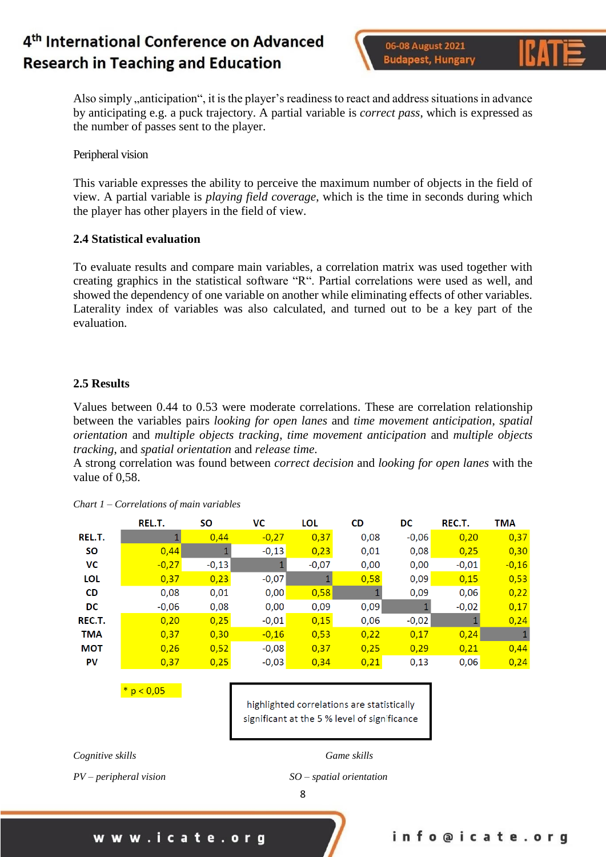06-08 August 2021 **Budapest, Hungary** 



Also simply , anticipation", it is the player's readiness to react and address situations in advance by anticipating e.g. a puck trajectory. A partial variable is *correct pass*, which is expressed as the number of passes sent to the player.

Peripheral vision

This variable expresses the ability to perceive the maximum number of objects in the field of view. A partial variable is *playing field coverage*, which is the time in seconds during which the player has other players in the field of view.

### **2.4 Statistical evaluation**

To evaluate results and compare main variables, a correlation matrix was used together with creating graphics in the statistical software "R". Partial correlations were used as well, and showed the dependency of one variable on another while eliminating effects of other variables. Laterality index of variables was also calculated, and turned out to be a key part of the evaluation.

### **2.5 Results**

Values between 0.44 to 0.53 were moderate correlations. These are correlation relationship between the variables pairs *looking for open lanes* and *time movement anticipation*, *spatial orientation* and *multiple objects tracking*, *time movement anticipation* and *multiple objects tracking*, and *spatial orientation* and *release time*.

A strong correlation was found between *correct decision* and *looking for open lanes* with the value of 0,58.

|            | REL.T.  | SΟ      | VC      | <b>LOL</b> | CD   | DC      | REC.T.  | TMA     |
|------------|---------|---------|---------|------------|------|---------|---------|---------|
| REL.T.     |         | 0,44    | $-0,27$ | 0,37       | 0,08 | $-0,06$ | 0,20    | 0,37    |
| <b>SO</b>  | 0,44    |         | $-0,13$ | 0,23       | 0,01 | 0,08    | 0,25    | 0,30    |
| VC         | $-0,27$ | $-0,13$ |         | $-0,07$    | 0,00 | 0,00    | $-0,01$ | $-0,16$ |
| <b>LOL</b> | 0,37    | 0,23    | $-0,07$ |            | 0,58 | 0,09    | 0,15    | 0,53    |
| <b>CD</b>  | 0,08    | 0,01    | 0,00    | 0,58       |      | 0,09    | 0,06    | 0,22    |
| DC         | $-0.06$ | 0,08    | 0,00    | 0,09       | 0,09 |         | $-0,02$ | 0,17    |
| REC.T.     | 0,20    | 0,25    | $-0,01$ | 0,15       | 0,06 | $-0,02$ |         | 0,24    |
| <b>TMA</b> | 0,37    | 0,30    | $-0,16$ | 0,53       | 0,22 | 0,17    | 0,24    |         |
| <b>MOT</b> | 0,26    | 0,52    | $-0,08$ | 0,37       | 0,25 | 0.29    | 0,21    | 0,44    |
| PV         | 0,37    | 0,25    | $-0,03$ | 0,34       | 0.21 | 0,13    | 0,06    | 0,24    |

*Chart 1 – Correlations of main variables*

 $* p < 0.05$ 

highlighted correlations are statistically significant at the 5 % level of significance

*Cognitive skills Game skills*

*PV – peripheral vision SO – spatial orientation*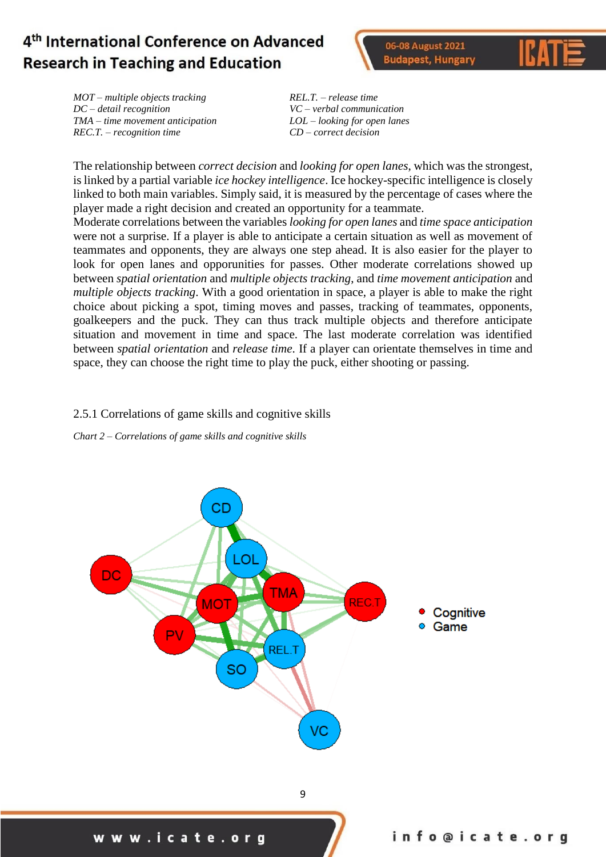06-08 August 2021 **Budapest, Hungary** 



*MOT – multiple objects tracking REL.T. – release time DC – detail recognition VC – verbal communication TMA – time movement anticipation LOL – looking for open lanes REC.T. – recognition time CD – correct decision*

The relationship between *correct decision* and *looking for open lanes*, which was the strongest, is linked by a partial variable *ice hockey intelligence*. Ice hockey-specific intelligence is closely linked to both main variables. Simply said, it is measured by the percentage of cases where the player made a right decision and created an opportunity for a teammate.

Moderate correlations between the variables *looking for open lanes* and *time space anticipation* were not a surprise. If a player is able to anticipate a certain situation as well as movement of teammates and opponents, they are always one step ahead. It is also easier for the player to look for open lanes and opporunities for passes. Other moderate correlations showed up between *spatial orientation* and *multiple objects tracking*, and *time movement anticipation* and *multiple objects tracking*. With a good orientation in space, a player is able to make the right choice about picking a spot, timing moves and passes, tracking of teammates, opponents, goalkeepers and the puck. They can thus track multiple objects and therefore anticipate situation and movement in time and space. The last moderate correlation was identified between *spatial orientation* and *release time*. If a player can orientate themselves in time and space, they can choose the right time to play the puck, either shooting or passing.

### 2.5.1 Correlations of game skills and cognitive skills

*Chart 2 – Correlations of game skills and cognitive skills*

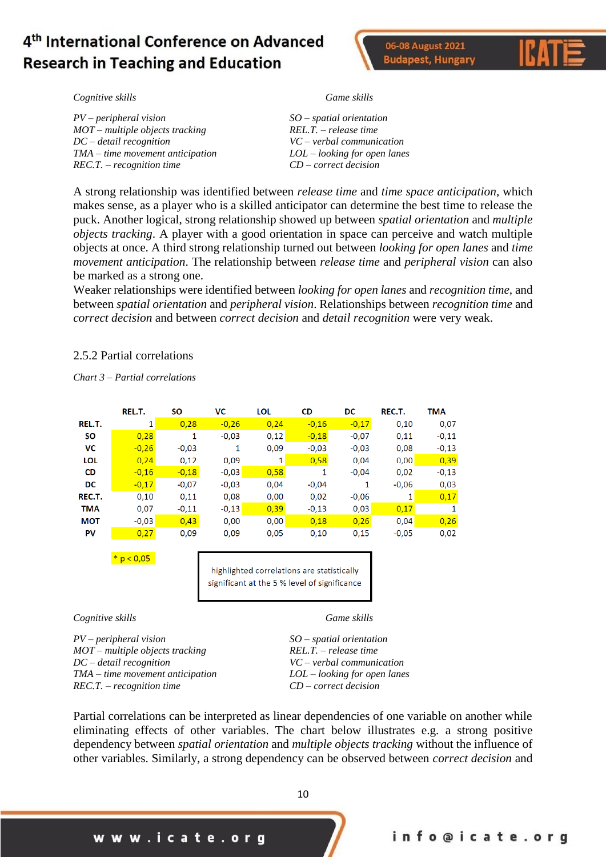



*Cognitive skills Game skills*

*PV – peripheral vision SO – spatial orientation MOT – multiple objects tracking REL.T. – release time DC – detail recognition VC – verbal communication TMA – time movement anticipation LOL – looking for open lanes REC.T. – recognition time CD – correct decision*

A strong relationship was identified between *release time* and *time space anticipation*, which makes sense, as a player who is a skilled anticipator can determine the best time to release the puck. Another logical, strong relationship showed up between *spatial orientation* and *multiple objects tracking*. A player with a good orientation in space can perceive and watch multiple objects at once. A third strong relationship turned out between *looking for open lanes* and *time movement anticipation*. The relationship between *release time* and *peripheral vision* can also be marked as a strong one.

Weaker relationships were identified between *looking for open lanes* and *recognition time*, and between *spatial orientation* and *peripheral vision*. Relationships between *recognition time* and *correct decision* and between *correct decision* and *detail recognition* were very weak.

#### 2.5.2 Partial correlations

*Chart 3 – Partial correlations*

|            | REL.T.  | SΟ      | VС      | LOL  | CD      | DC      | REC.T.  | TMA     |
|------------|---------|---------|---------|------|---------|---------|---------|---------|
| REL.T.     | 1       | 0,28    | $-0,26$ | 0,24 | $-0,16$ | $-0,17$ | 0,10    | 0,07    |
| <b>SO</b>  | 0,28    | 1       | $-0,03$ | 0,12 | $-0,18$ | $-0,07$ | 0,11    | $-0,11$ |
| VC         | $-0,26$ | $-0.03$ |         | 0,09 | $-0.03$ | $-0,03$ | 0,08    | $-0,13$ |
| LOL        | 0,24    | 0,12    | 0,09    | 1    | 0,58    | 0.04    | 0,00    | 0,39    |
| <b>CD</b>  | $-0.16$ | $-0,18$ | $-0,03$ | 0,58 | 1       | $-0.04$ | 0,02    | $-0,13$ |
| DC         | $-0,17$ | $-0,07$ | $-0,03$ | 0,04 | $-0,04$ | 1       | $-0,06$ | 0,03    |
| REC.T.     | 0,10    | 0,11    | 0,08    | 0,00 | 0,02    | $-0.06$ |         | 0.17    |
| <b>TMA</b> | 0,07    | $-0,11$ | $-0,13$ | 0,39 | $-0,13$ | 0,03    | 0,17    |         |
| <b>MOT</b> | $-0.03$ | 0,43    | 0,00    | 0,00 | 0,18    | 0,26    | 0.04    | 0,26    |
| PV         | 0.27    | 0.09    | 0,09    | 0,05 | 0,10    | 0,15    | $-0.05$ | 0,02    |

\*  $p < 0,05$ 

highlighted correlations are statistically significant at the 5 % level of significance

*Cognitive skills Game skills*

*PV – peripheral vision SO – spatial orientation MOT – multiple objects tracking REL.T. – release time DC – detail recognition VC – verbal communication TMA – time movement anticipation LOL – looking for open lanes REC.T. – recognition time CD – correct decision*

Partial correlations can be interpreted as linear dependencies of one variable on another while eliminating effects of other variables. The chart below illustrates e.g. a strong positive dependency between *spatial orientation* and *multiple objects tracking* without the influence of other variables. Similarly, a strong dependency can be observed between *correct decision* and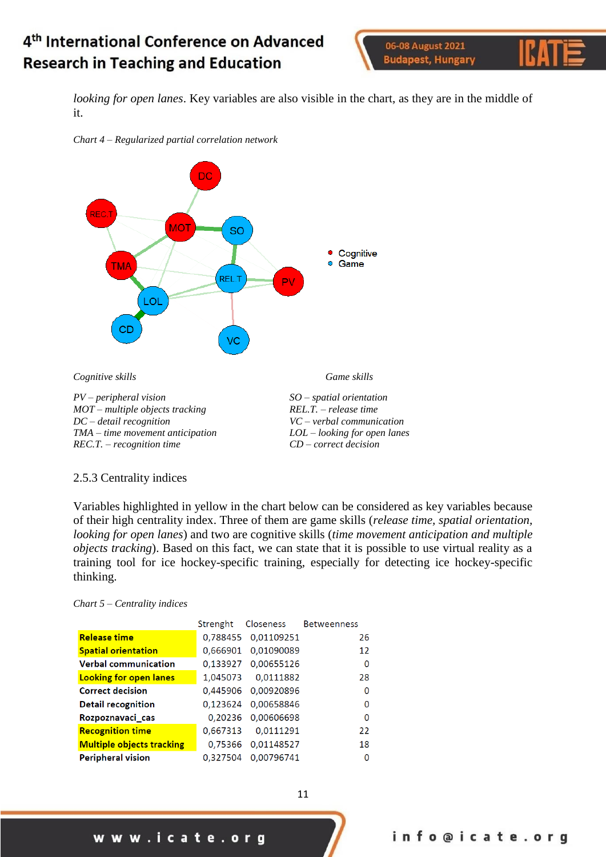06-08 August 2021 **Budapest, Hungary** 



*looking for open lanes*. Key variables are also visible in the chart, as they are in the middle of it.





#### 2.5.3 Centrality indices

Variables highlighted in yellow in the chart below can be considered as key variables because of their high centrality index. Three of them are game skills (*release time, spatial orientation, looking for open lanes*) and two are cognitive skills (*time movement anticipation and multiple objects tracking*). Based on this fact, we can state that it is possible to use virtual reality as a training tool for ice hockey-specific training, especially for detecting ice hockey-specific thinking.

#### *Chart 5 – Centrality indices*

|                                  | Strenght | Closeness  | <b>Betweenness</b> |
|----------------------------------|----------|------------|--------------------|
| <b>Release time</b>              | 0,788455 | 0,01109251 | 26                 |
| <b>Spatial orientation</b>       | 0,666901 | 0,01090089 | 12                 |
| <b>Verbal communication</b>      | 0,133927 | 0,00655126 | 0                  |
| <b>Looking for open lanes</b>    | 1,045073 | 0,0111882  | 28                 |
| <b>Correct decision</b>          | 0,445906 | 0,00920896 | O                  |
| <b>Detail recognition</b>        | 0,123624 | 0,00658846 | $\Omega$           |
| Rozpoznavaci_cas                 | 0,20236  | 0,00606698 | O                  |
| <b>Recognition time</b>          | 0,667313 | 0,0111291  | 22                 |
| <b>Multiple objects tracking</b> | 0.75366  | 0,01148527 | 18                 |
| <b>Peripheral vision</b>         | 0.327504 | 0,00796741 | $\Omega$           |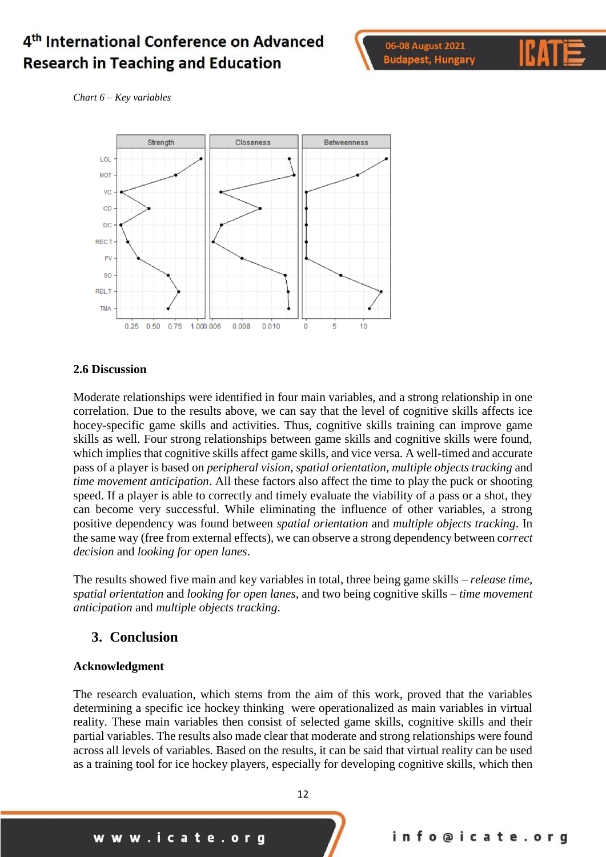



*Chart 6 – Key variables*



#### **2.6 Discussion**

Moderate relationships were identified in four main variables, and a strong relationship in one correlation. Due to the results above, we can say that the level of cognitive skills affects ice hocey-specific game skills and activities. Thus, cognitive skills training can improve game skills as well. Four strong relationships between game skills and cognitive skills were found, which implies that cognitive skills affect game skills, and vice versa. A well-timed and accurate pass of a player is based on *peripheral vision*, *spatial orientation*, *multiple objects tracking* and *time movement anticipation*. All these factors also affect the time to play the puck or shooting speed. If a player is able to correctly and timely evaluate the viability of a pass or a shot, they can become very successful. While eliminating the influence of other variables, a strong positive dependency was found between *spatial orientation* and *multiple objects tracking*. In the same way (free from external effects), we can observe a strong dependency between co*rrect decision* and *looking for open lanes*.

The results showed five main and key variables in total, three being game skills – *release time*, *spatial orientation* and *looking for open lanes*, and two being cognitive skills – *time movement anticipation* and *multiple objects tracking*.

### **3. Conclusion**

#### **Acknowledgment**

The research evaluation, which stems from the aim of this work, proved that the variables determining a specific ice hockey thinking were operationalized as main variables in virtual reality. These main variables then consist of selected game skills, cognitive skills and their partial variables. The results also made clear that moderate and strong relationships were found across all levels of variables. Based on the results, it can be said that virtual reality can be used as a training tool for ice hockey players, especially for developing cognitive skills, which then